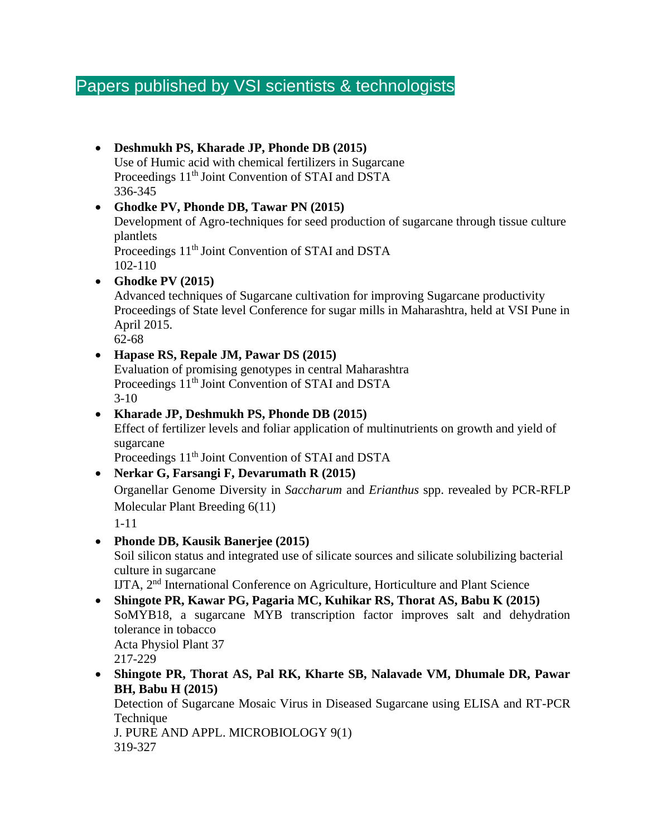# Papers published by VSI scientists & technologists

#### • **Deshmukh PS, Kharade JP, Phonde DB (2015)** Use of Humic acid with chemical fertilizers in Sugarcane Proceedings 11<sup>th</sup> Joint Convention of STAI and DSTA 336-345

#### • **Ghodke PV, Phonde DB, Tawar PN (2015)** Development of Agro-techniques for seed production of sugarcane through tissue culture plantlets Proceedings 11<sup>th</sup> Joint Convention of STAI and DSTA 102-110 • **Ghodke PV (2015)**

Advanced techniques of Sugarcane cultivation for improving Sugarcane productivity Proceedings of State level Conference for sugar mills in Maharashtra, held at VSI Pune in April 2015.

62-68

#### • **Hapase RS, Repale JM, Pawar DS (2015)**

Evaluation of promising genotypes in central Maharashtra Proceedings 11<sup>th</sup> Joint Convention of STAI and DSTA 3-10

#### • **Kharade JP, Deshmukh PS, Phonde DB (2015)** Effect of fertilizer levels and foliar application of multinutrients on growth and yield of sugarcane

Proceedings 11<sup>th</sup> Joint Convention of STAI and DSTA

### • **Nerkar G, Farsangi F, Devarumath R (2015)**

Organellar Genome Diversity in *Saccharum* and *Erianthus* spp. revealed by PCR-RFLP Molecular Plant Breeding 6(11)

1-11

• **Phonde DB, Kausik Banerjee (2015)** Soil silicon status and integrated use of silicate sources and silicate solubilizing bacterial culture in sugarcane

IJTA, 2nd International Conference on Agriculture, Horticulture and Plant Science

- **Shingote PR, Kawar PG, Pagaria MC, Kuhikar RS, Thorat AS, Babu K (2015)**  SoMYB18, a sugarcane MYB transcription factor improves salt and dehydration tolerance in tobacco Acta Physiol Plant 37 217-229
- **Shingote PR, Thorat AS, Pal RK, Kharte SB, Nalavade VM, Dhumale DR, Pawar BH, Babu H (2015)**

Detection of Sugarcane Mosaic Virus in Diseased Sugarcane using ELISA and RT-PCR **Technique** 

J. PURE AND APPL. MICROBIOLOGY 9(1) 319-327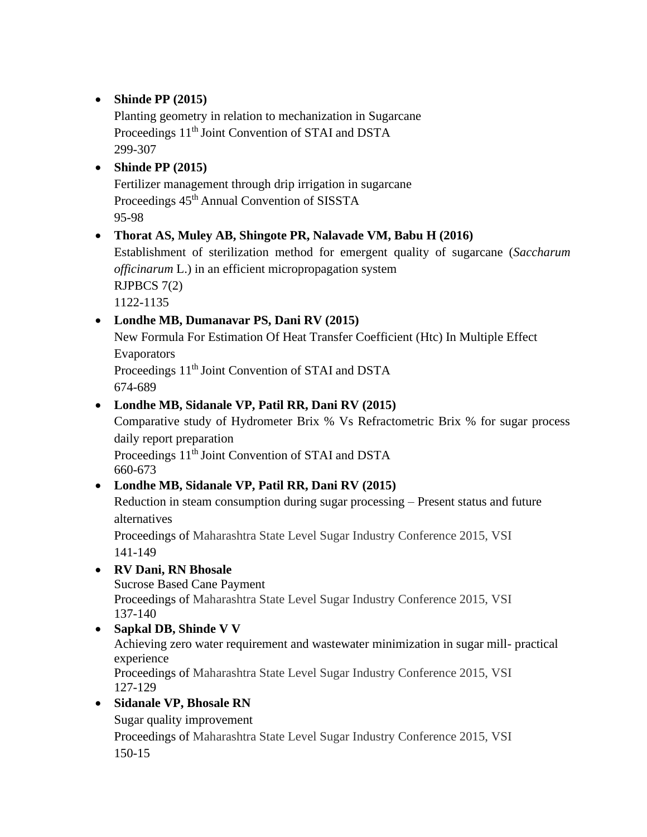#### • **Shinde PP (2015)**

Planting geometry in relation to mechanization in Sugarcane Proceedings 11<sup>th</sup> Joint Convention of STAI and DSTA 299-307

#### • **Shinde PP (2015)**

Fertilizer management through drip irrigation in sugarcane Proceedings  $45<sup>th</sup>$  Annual Convention of SISSTA 95-98

#### • **Thorat AS, Muley AB, Shingote PR, Nalavade VM, Babu H (2016)**

Establishment of sterilization method for emergent quality of sugarcane (*Saccharum officinarum* L.) in an efficient micropropagation system RJPBCS 7(2)

1122-1135

#### • **Londhe MB, Dumanavar PS, Dani RV (2015)**

New Formula For Estimation Of Heat Transfer Coefficient (Htc) In Multiple Effect Evaporators Proceedings 11<sup>th</sup> Joint Convention of STAI and DSTA 674-689

#### • **Londhe MB, Sidanale VP, Patil RR, Dani RV (2015)**

Comparative study of Hydrometer Brix % Vs Refractometric Brix % for sugar process daily report preparation Proceedings 11<sup>th</sup> Joint Convention of STAI and DSTA 660-673

#### • **Londhe MB, Sidanale VP, Patil RR, Dani RV (2015)**

Reduction in steam consumption during sugar processing – Present status and future alternatives

Proceedings of Maharashtra State Level Sugar Industry Conference 2015, VSI 141-149

### • **RV Dani, RN Bhosale**

Sucrose Based Cane Payment Proceedings of Maharashtra State Level Sugar Industry Conference 2015, VSI 137-140

#### • **Sapkal DB, Shinde V V**

Achieving zero water requirement and wastewater minimization in sugar mill- practical experience Proceedings of Maharashtra State Level Sugar Industry Conference 2015, VSI

127-129

### • **Sidanale VP, Bhosale RN**

Sugar quality improvement Proceedings of Maharashtra State Level Sugar Industry Conference 2015, VSI 150-15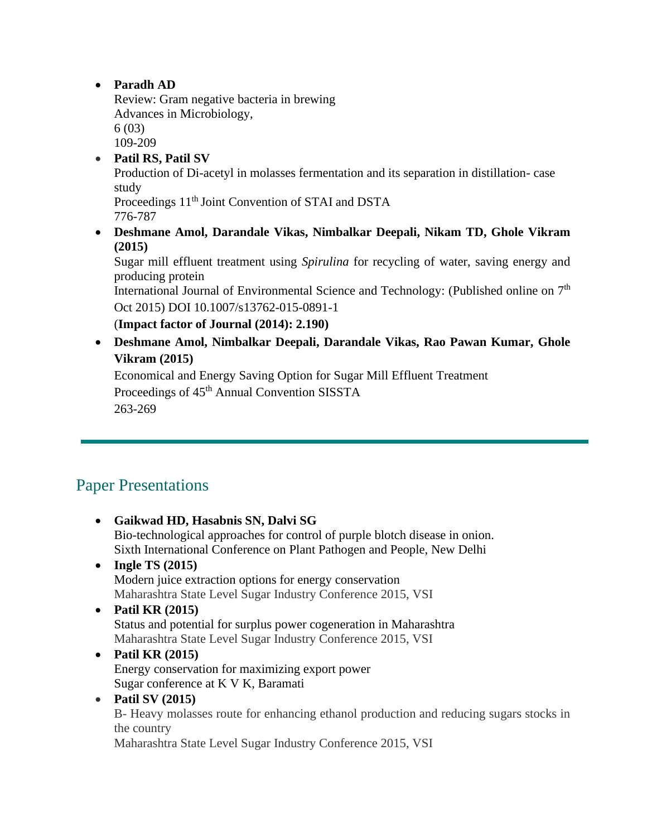• **Paradh AD**

Review: Gram negative bacteria in brewing Advances in Microbiology, 6 (03) 109-209

• **Patil RS, Patil SV**

Production of Di-acetyl in molasses fermentation and its separation in distillation- case study

Proceedings 11<sup>th</sup> Joint Convention of STAI and DSTA 776-787

• **Deshmane Amol, Darandale Vikas, Nimbalkar Deepali, Nikam TD, Ghole Vikram (2015)**

Sugar mill effluent treatment using *Spirulina* for recycling of water, saving energy and producing protein

International Journal of Environmental Science and Technology: (Published online on 7<sup>th</sup> Oct 2015) DOI 10.1007/s13762-015-0891-1

(**Impact factor of Journal (2014): 2.190)**

• **Deshmane Amol, Nimbalkar Deepali, Darandale Vikas, Rao Pawan Kumar, Ghole Vikram (2015)**

Economical and Energy Saving Option for Sugar Mill Effluent Treatment Proceedings of 45<sup>th</sup> Annual Convention SISSTA 263-269

## Paper Presentations

- **Gaikwad HD, Hasabnis SN, Dalvi SG**  Bio-technological approaches for control of purple blotch disease in onion. Sixth International Conference on Plant Pathogen and People, New Delhi • **Ingle TS (2015)** Modern juice extraction options for energy conservation Maharashtra State Level Sugar Industry Conference 2015, VSI • **Patil KR (2015)** Status and potential for surplus power cogeneration in Maharashtra Maharashtra State Level Sugar Industry Conference 2015, VSI • **Patil KR (2015)**
- Energy conservation for maximizing export power Sugar conference at K V K, Baramati
- **Patil SV (2015)**

B- Heavy molasses route for enhancing ethanol production and reducing sugars stocks in the country

Maharashtra State Level Sugar Industry Conference 2015, VSI